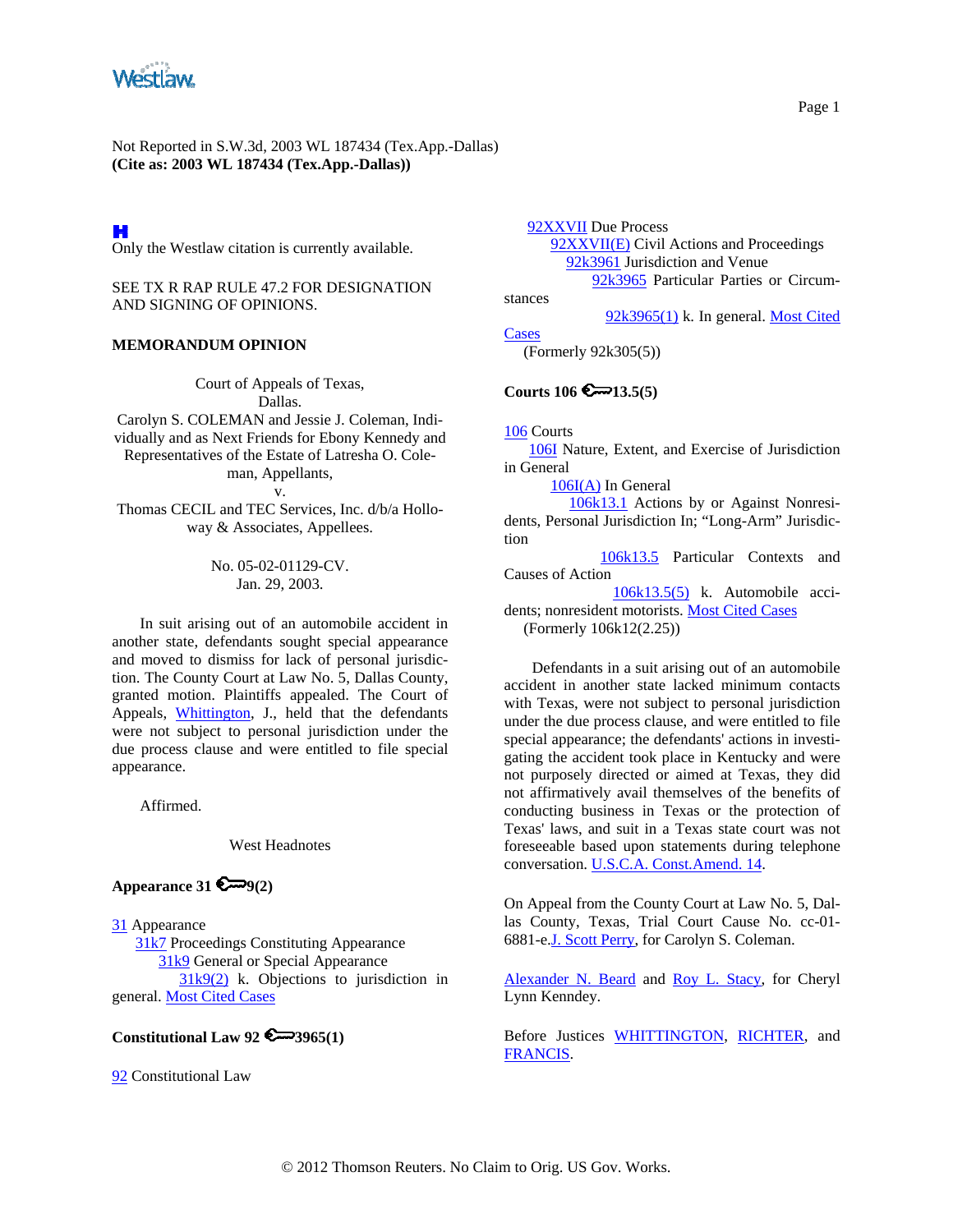

# H

Only the Westlaw citation is currently available.

SEE TX R RAP RULE 47.2 FOR DESIGNATION AND SIGNING OF OPINIONS.

#### **MEMORANDUM OPINION**

Court of Appeals of Texas, Dallas.

Carolyn S. COLEMAN and Jessie J. Coleman, Individually and as Next Friends for Ebony Kennedy and Representatives of the Estate of Latresha O. Coleman, Appellants,

v.

Thomas CECIL and TEC Services, Inc. d/b/a Holloway & Associates, Appellees.

> No. 05-02-01129-CV. Jan. 29, 2003.

In suit arising out of an automobile accident in another state, defendants sought special appearance and moved to dismiss for lack of personal jurisdiction. The County Court at Law No. 5, Dallas County, granted motion. Plaintiffs appealed. The Court of Appeals, [Whittington](http://www.westlaw.com/Find/Default.wl?rs=dfa1.0&vr=2.0&DB=PROFILER-WLD&DocName=0247187801&FindType=h), J., held that the defendants were not subject to personal jurisdiction under the due process clause and were entitled to file special appearance.

Affirmed.

#### West Headnotes

## Appearance  $31 \in \mathbb{Z} \rightarrow 9(2)$

[31](http://www.westlaw.com/KeyNumber/Default.wl?rs=dfa1.0&vr=2.0&CMD=KEY&DocName=31) Appearance [31k7](http://www.westlaw.com/KeyNumber/Default.wl?rs=dfa1.0&vr=2.0&CMD=KEY&DocName=31k7) Proceedings Constituting Appearance [31k9](http://www.westlaw.com/KeyNumber/Default.wl?rs=dfa1.0&vr=2.0&CMD=KEY&DocName=31k9) General or Special Appearance  $31k9(2)$  k. Objections to jurisdiction in general. [Most Cited Cases](http://www.westlaw.com/Digest/Default.wl?rs=dfa1.0&vr=2.0&CMD=MCC&DocName=31k9%282%29)

## **Constitutional Law 92 3965(1)**

[92](http://www.westlaw.com/KeyNumber/Default.wl?rs=dfa1.0&vr=2.0&CMD=KEY&DocName=92) Constitutional Law

 [92XXVII](http://www.westlaw.com/KeyNumber/Default.wl?rs=dfa1.0&vr=2.0&CMD=KEY&DocName=92XXVII) Due Process [92XXVII\(E\)](http://www.westlaw.com/KeyNumber/Default.wl?rs=dfa1.0&vr=2.0&CMD=KEY&DocName=92XXVII%28E%29) Civil Actions and Proceedings [92k3961](http://www.westlaw.com/KeyNumber/Default.wl?rs=dfa1.0&vr=2.0&CMD=KEY&DocName=92k3961) Jurisdiction and Venue [92k3965](http://www.westlaw.com/KeyNumber/Default.wl?rs=dfa1.0&vr=2.0&CMD=KEY&DocName=92k3965) Particular Parties or Circum-

stances

[Cases](http://www.westlaw.com/Digest/Default.wl?rs=dfa1.0&vr=2.0&CMD=MCC&DocName=92k3965%281%29)

 $92k3965(1)$  k. In general. Most Cited

(Formerly 92k305(5))

# **Courts 106**  $\epsilon$  13.5(5)

[106](http://www.westlaw.com/KeyNumber/Default.wl?rs=dfa1.0&vr=2.0&CMD=KEY&DocName=106) Courts

 [106I](http://www.westlaw.com/KeyNumber/Default.wl?rs=dfa1.0&vr=2.0&CMD=KEY&DocName=106I) Nature, Extent, and Exercise of Jurisdiction in General

[106I\(A\)](http://www.westlaw.com/KeyNumber/Default.wl?rs=dfa1.0&vr=2.0&CMD=KEY&DocName=106I%28A%29) In General

 [106k13.1](http://www.westlaw.com/KeyNumber/Default.wl?rs=dfa1.0&vr=2.0&CMD=KEY&DocName=106k13.1) Actions by or Against Nonresidents, Personal Jurisdiction In; "Long-Arm" Jurisdiction

 [106k13.5](http://www.westlaw.com/KeyNumber/Default.wl?rs=dfa1.0&vr=2.0&CMD=KEY&DocName=106k13.5) Particular Contexts and Causes of Action

 [106k13.5\(5\)](http://www.westlaw.com/KeyNumber/Default.wl?rs=dfa1.0&vr=2.0&CMD=KEY&DocName=106k13.5%285%29) k. Automobile accidents; nonresident motorists. [Most Cited Cases](http://www.westlaw.com/Digest/Default.wl?rs=dfa1.0&vr=2.0&CMD=MCC&DocName=106k13.5%285%29) (Formerly 106k12(2.25))

Defendants in a suit arising out of an automobile accident in another state lacked minimum contacts with Texas, were not subject to personal jurisdiction under the due process clause, and were entitled to file special appearance; the defendants' actions in investigating the accident took place in Kentucky and were not purposely directed or aimed at Texas, they did not affirmatively avail themselves of the benefits of conducting business in Texas or the protection of Texas' laws, and suit in a Texas state court was not foreseeable based upon statements during telephone conversation. [U.S.C.A. Const.Amend. 14.](http://www.westlaw.com/Find/Default.wl?rs=dfa1.0&vr=2.0&DB=1000546&DocName=USCOAMENDXIV&FindType=L)

On Appeal from the County Court at Law No. 5, Dallas County, Texas, Trial Court Cause No. cc-01- 6881-e[.J. Scott Perry,](http://www.westlaw.com/Find/Default.wl?rs=dfa1.0&vr=2.0&DB=PROFILER-WLD&DocName=0286803501&FindType=h) for Carolyn S. Coleman.

[Alexander N. Beard](http://www.westlaw.com/Find/Default.wl?rs=dfa1.0&vr=2.0&DB=PROFILER-WLD&DocName=0126427001&FindType=h) and [Roy L. Stacy](http://www.westlaw.com/Find/Default.wl?rs=dfa1.0&vr=2.0&DB=PROFILER-WLD&DocName=0165581901&FindType=h), for Cheryl Lynn Kenndey.

Before Justices [WHITTINGTON](http://www.westlaw.com/Find/Default.wl?rs=dfa1.0&vr=2.0&DB=PROFILER-WLD&DocName=0247187801&FindType=h), [RICHTER,](http://www.westlaw.com/Find/Default.wl?rs=dfa1.0&vr=2.0&DB=PROFILER-WLD&DocName=0146706701&FindType=h) and [FRANCIS](http://www.westlaw.com/Find/Default.wl?rs=dfa1.0&vr=2.0&DB=PROFILER-WLD&DocName=0153508401&FindType=h).